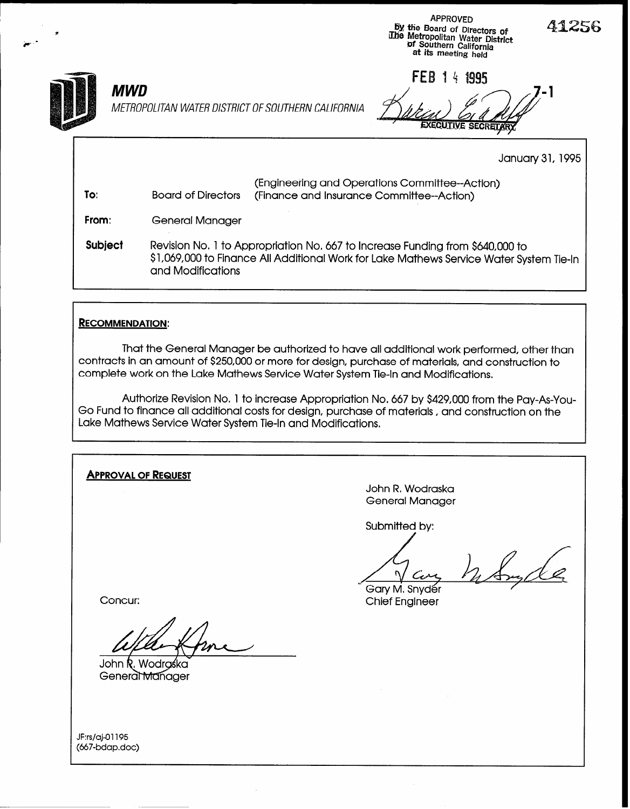



METROPOLITAN WATER DISTRICT OF SOUTHERN CALIFORNIA

FEB 14 1995  $MWD$   $\angle$   $\angle$   $\angle$   $\angle$ 

January 31,1995

| To:            | <b>Board of Directors</b> | (Engineering and Operations Committee--Action)<br>(Finance and Insurance Committee--Action)                                                                              |
|----------------|---------------------------|--------------------------------------------------------------------------------------------------------------------------------------------------------------------------|
| From:          | General Manager           |                                                                                                                                                                          |
| <b>Subject</b> | and Modifications         | Revision No. 1 to Appropriation No. 667 to Increase Funding from \$640,000 to<br>\$1,069,000 to Finance All Additional Work for Lake Mathews Service Water System Tie-In |

## **RECOMMENDATION:**

That the General Manager be authorized to have all additional work performed, other than contracts in an amount of \$250,000 or more for design, purchase of materials, and construction to complete work on the Lake Mathews Service Water System Tie-In and Modifications.

Authorize Revision No. 1 to increase Appropriation No, 667 by \$429,000 from the Pay-As-You-Go Fund to finance all additional costs for design, purchase of materials, and construction on the Lake Mathews Service Water System Tie-In and Modifications.

APPROVAL OF REQUEST John R. Wodraska General Manager Submitted by: Gary M. Snyder Concur: Concuring Concuring Concuring Concuring Chief Engineer

John R. Wodraśka General Manager

JF:rs/aj-O1195 (667-bdap.doc) 4lZ56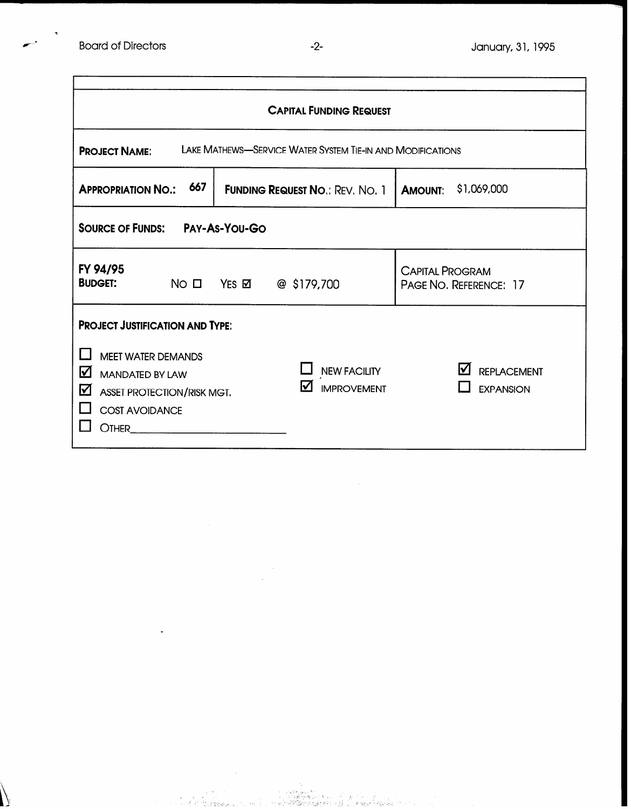| <b>CAPITAL FUNDING REQUEST</b>                                                                                                                                                                           |                                                                                                       |                                                  |  |  |  |  |
|----------------------------------------------------------------------------------------------------------------------------------------------------------------------------------------------------------|-------------------------------------------------------------------------------------------------------|--------------------------------------------------|--|--|--|--|
| LAKE MATHEWS-SERVICE WATER SYSTEM TIE-IN AND MODIFICATIONS<br><b>PROJECT NAME:</b>                                                                                                                       |                                                                                                       |                                                  |  |  |  |  |
| 667<br><b>APPROPRIATION NO.:</b>                                                                                                                                                                         | \$1,069,000<br><b>AMOUNT:</b>                                                                         |                                                  |  |  |  |  |
| <b>SOURCE OF FUNDS: PAY-AS-YOU-GO</b>                                                                                                                                                                    |                                                                                                       |                                                  |  |  |  |  |
| FY 94/95<br><b>BUDGET:</b><br>NO <sub>II</sub>                                                                                                                                                           | $@$ \$179,700<br>$Yes \boxtimes$                                                                      | <b>CAPITAL PROGRAM</b><br>PAGE NO. REFERENCE: 17 |  |  |  |  |
| <b>PROJECT JUSTIFICATION AND TYPE:</b><br><b>MEET WATER DEMANDS</b><br>$\blacktriangledown$<br><b>MANDATED BY LAW</b><br>龱<br><b>ASSET PROTECTION/RISK MGT.</b><br><b>COST AVOIDANCE</b><br><b>OTHER</b> | <b>NEW FACILITY</b><br>☑<br><b>IMPROVEMENT</b><br><u> 1980 - Jan Stein James, martin filosofoar (</u> | lVІ<br><b>REPLACEMENT</b><br><b>EXPANSION</b>    |  |  |  |  |

, ' I. \_. .

 $s \sim \sqrt{s}$ 

I \_'.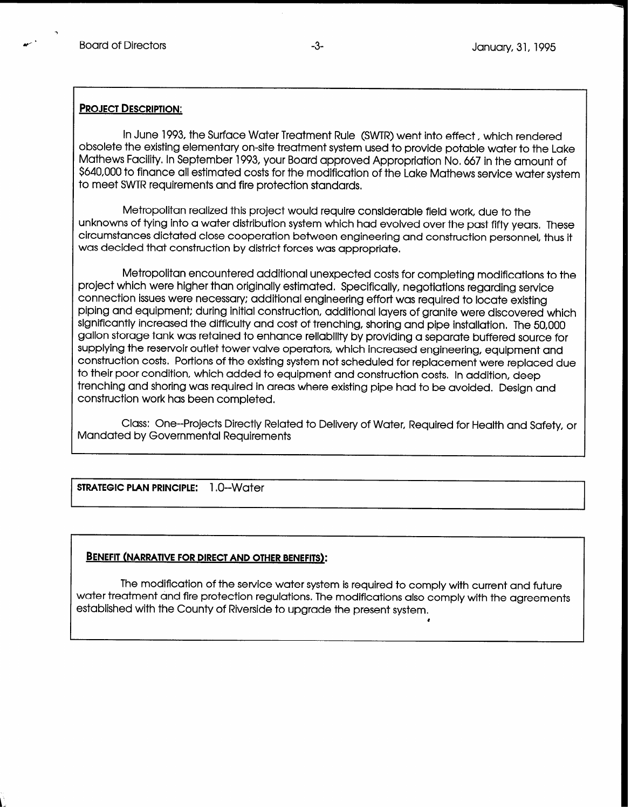## PROJECT DESCRIPTION:

In June 1993, the Surface Water Treatment Rule (SWTR) went into effect, which rendered obsolete the existing elementary on-site treatment system used to provide potable water to the Lake Mathews Facility. In September 1993, your Board approved Appropriation No, 667 in the amount of \$640,000 to finance all estimated costs for the modification of the Lake Mathews service water system to meet SWTR requirements and fire protection standards,

Metropolitan realized this project would require considerable field work, due to the unknowns of tying into a water distribution system which had evolved over the past fifty years, These circumstances dictated close cooperation between engineering and construction personnel, thus it was decided that construction by district forces was appropriate,

Metropolitan encountered additional unexpected costs for completing modifications to the project which were higher than originally estimated. Specifically, negotiations regarding service connection issues were necessary; additional engineering effort was required to locate existing piping and equipment; during initial construction, additional layers of granite were discovered which significantly increased the difficulty and cost of trenching, shoring and pipe installation. The 50,000 gallon storage tank was retained to enhance reliability by providing a separate buffered source for supplying the reservoir outlet tower valve operators, which increased engineering, equipment and construction costs. Portions of the existing system not scheduled for replacement were replaced due to their poor condition, which added to equipment and construction costs, In addition, deep trenching and shoring was required in areas where existing pipe had to be avoided. Design and construction work has been completed.

Class: One--Projects Directly Related to Delivery of Water, Required for Health and Safety, or Mandated by Governmental Requirements

STRATEGIC PLAN PRINCIPLE: 1.0--Water

 $\overline{a}$ 

## BENEFIT (NARRATIVE FOR DIRECT AND OTHER BENEFITS):

water freatment and fire profection regulations. The modifications also comply with the agreement established with the County of Riverside to upgrade the present system. The modification of the service water system is required to comply with current and future

l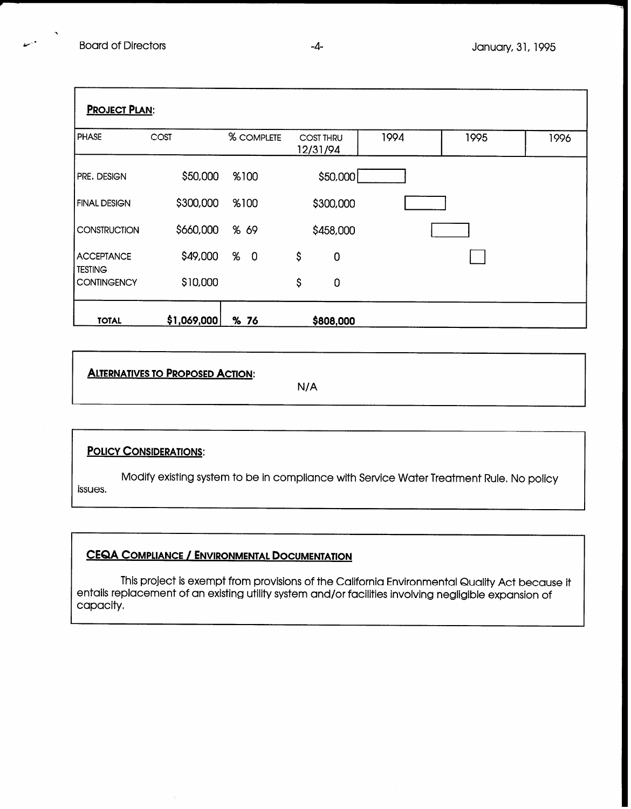| <b>PROJECT PLAN:</b>                |             |                     |                              |             |      |      |      |
|-------------------------------------|-------------|---------------------|------------------------------|-------------|------|------|------|
| <b>PHASE</b>                        | COST        | % COMPLETE          | <b>COST THRU</b><br>12/31/94 |             | 1994 | 1995 | 1996 |
| PRE. DESIGN                         | \$50,000    | %100                |                              | \$50,000    |      |      |      |
| <b>FINAL DESIGN</b>                 | \$300,000   | %100                |                              | \$300,000   |      |      |      |
| <b>CONSTRUCTION</b>                 | \$660,000   | % 69                |                              | \$458,000   |      |      |      |
| <b>ACCEPTANCE</b><br><b>TESTING</b> | \$49,000    | %<br>$\overline{0}$ | \$                           | $\mathbf 0$ |      |      |      |
| <b>CONTINGENCY</b>                  | \$10,000    |                     | \$                           | $\mathbf 0$ |      |      |      |
| <b>TOTAL</b>                        | \$1,069,000 | % 76                |                              | \$808,000   |      |      |      |

ALTERNATIVES TO PROPOSED ACTION:

N/A

## **POLICY CONSIDERATIONS:**

Modify existing system to be in compliance with Service Water Treatment Rule. No policy issues,

# CEQA COMPLIANCE / ENVIRONMENTAL DOCUMENTATION

This project is exempt from provisions of the California Environmental Quality Act because it entails replacement of an existing utility system and/or facilities involving negligible expansion of capacity,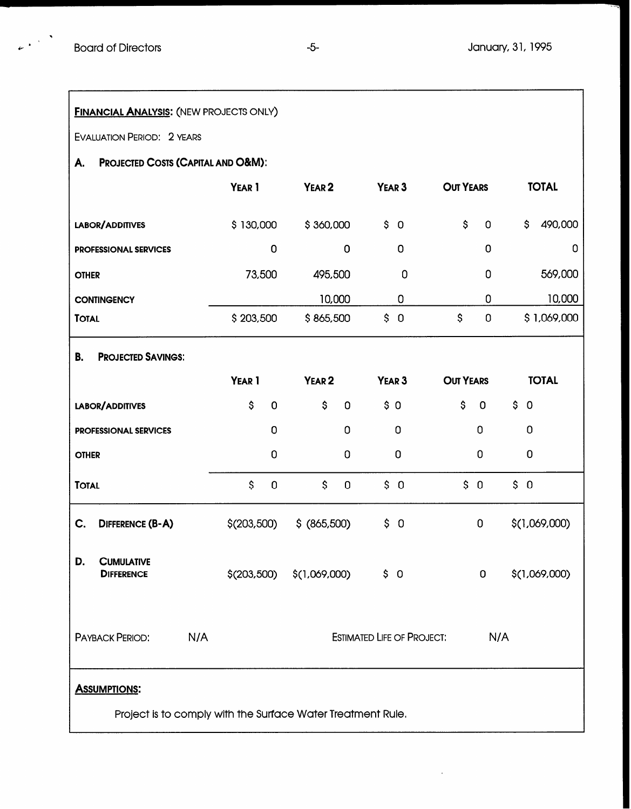$\mathbb{R}^{(n-1)}$ 

| <b>FINANCIAL ANALYSIS: (NEW PROJECTS ONLY)</b>                                     |                                    |                   |                                   |                      |               |  |  |  |
|------------------------------------------------------------------------------------|------------------------------------|-------------------|-----------------------------------|----------------------|---------------|--|--|--|
| <b>EVALUATION PERIOD: 2 YEARS</b>                                                  |                                    |                   |                                   |                      |               |  |  |  |
| А.                                                                                 | PROJECTED COSTS (CAPITAL AND O&M): |                   |                                   |                      |               |  |  |  |
|                                                                                    | YEAR 1                             | YEAR <sub>2</sub> | YEAR <sub>3</sub>                 | <b>OUT YEARS</b>     | <b>TOTAL</b>  |  |  |  |
| LABOR/ADDITIVES                                                                    | \$130,000                          | \$360,000         | \$<br>$\overline{0}$              | \$<br>$\overline{0}$ | 490,000<br>\$ |  |  |  |
| <b>PROFESSIONAL SERVICES</b>                                                       | $\mathbf 0$                        | $\mathbf 0$       | 0                                 | 0                    | 0             |  |  |  |
| <b>OTHER</b>                                                                       | 73,500                             | 495,500           | 0                                 | 0                    | 569,000       |  |  |  |
| <b>CONTINGENCY</b>                                                                 |                                    | 10,000            | 0                                 | 0                    | 10,000        |  |  |  |
| <b>TOTAL</b>                                                                       | \$203,500                          | \$865,500         | \$0                               | \$<br>$\overline{0}$ | \$1,069,000   |  |  |  |
| <b>PROJECTED SAVINGS:</b><br>В.                                                    |                                    |                   |                                   |                      |               |  |  |  |
|                                                                                    | YEAR <sub>1</sub>                  | YEAR <sub>2</sub> | YEAR <sub>3</sub>                 | <b>OUT YEARS</b>     | <b>TOTAL</b>  |  |  |  |
| LABOR/ADDITIVES                                                                    | \$<br>$\mathbf 0$                  | \$<br>$\mathbf 0$ | \$0                               | \$<br>$\mathbf 0$    | \$0           |  |  |  |
| <b>PROFESSIONAL SERVICES</b>                                                       | 0                                  | $\mathbf 0$       | $\Omega$                          | $\Omega$             | $\mathbf 0$   |  |  |  |
| <b>OTHER</b>                                                                       | 0                                  | $\mathbf 0$       | $\bf{0}$                          | 0                    | 0             |  |  |  |
| <b>TOTAL</b>                                                                       | $\mathsf{S}$<br>$\mathbf 0$        | \$<br>$\mathbf 0$ | \$0                               | \$0                  | \$0           |  |  |  |
| C.<br>DIFFERENCE (B-A)                                                             | \$(203,500)                        | $$$ (865,500)     | \$0                               | 0                    | \$(1,069,000) |  |  |  |
| D.<br><b>CUMULATIVE</b><br><b>DIFFERENCE</b>                                       | \$(203,500)                        | \$(1,069,000)     | \$0                               | $\mathbf{0}$         | \$(1,069,000) |  |  |  |
| N/A<br><b>PAYBACK PERIOD:</b>                                                      |                                    |                   | <b>ESTIMATED LIFE OF PROJECT:</b> | N/A                  |               |  |  |  |
| <b>ASSUMPTIONS:</b><br>Project is to comply with the Surface Water Treatment Rule. |                                    |                   |                                   |                      |               |  |  |  |

 $\bar{z}$